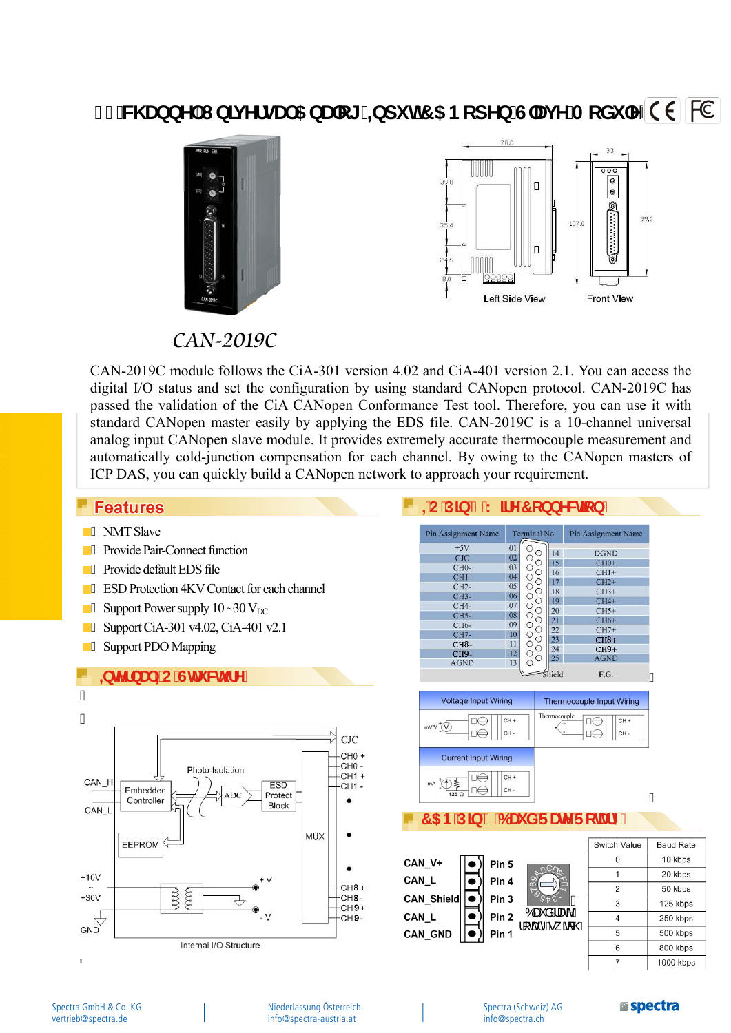# **%W UbbY I b]j YfgU 5 bUc[ =bdi h7 5 BcdYb G'Uj Y A cXi `Y C E FC**





### CAN-2019C

CAN-2019C module follows the CiA-301 version 4.02 and CiA-401 version 2.1. You can access the digital I/O status and set the configuration by using standard CANopen protocol. CAN-2019C has passed the validation of the CiA CANopen Conformance Test tool. Therefore, you can use it with standard CANopen master easily by applying the EDS file. CAN-2019C is a 10-channel universal analog input CANopen slave module. It provides extremely accurate thermocouple measurement and automatically cold-junction compensation for each channel. By owing to the CANopen masters of ICP DAS, you can quickly build a CANopen network to approach your requirement.

#### **Features**

- **A** NMT Slave
- **A** Provide Pair-Connect function
- **A** Provide default EDS file
- **EXP** Protection 4KV Contact for each channel
- $\overline{\phantom{a}}$  Support Power supply 10 ~30 V<sub>DC</sub>
- **A** Support CiA-301 v4.02, CiA-401 v2.1
- A Support PDO Mapping





Óæč å Áæc^Á  $\mathcal{U}$  as  $\mathcal{O}$ 

Niederlassung Österreich info@spectra-austria.at

Spectra (Schweiz) AG info@spectra.ch

Pin<sub>2</sub>

Pin 1

CAN L

**CAN GND** 

#### **Espectra**

250 kbps

500 kbps

800 kbps

 $1000$  kbps

 $\overline{4}$ 

 $\overline{5}$ 

 $\overline{6}$ 

 $\overline{7}$